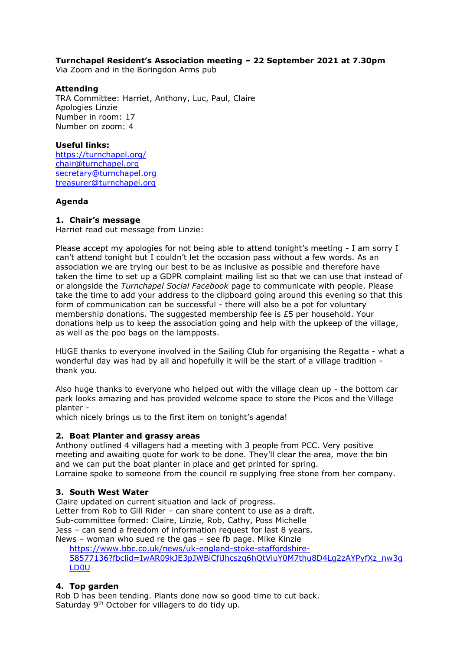# **Turnchapel Resident's Association meeting – 22 September 2021 at 7.30pm**

Via Zoom and in the Boringdon Arms pub

#### **Attending**

TRA Committee: Harriet, Anthony, Luc, Paul, Claire Apologies Linzie Number in room: 17 Number on zoom: 4

#### **Useful links:**

<https://turnchapel.org/> [chair@turnchapel.org](mailto:chair@turnchapel.org)  [secretary@turnchapel.org](mailto:secretary@turnchapel.org) [treasurer@turnchapel.org](mailto:treasurer@turnchapel.org)

#### **Agenda**

#### **1. Chair's message**

Harriet read out message from Linzie:

Please accept my apologies for not being able to attend tonight's meeting - I am sorry I can't attend tonight but I couldn't let the occasion pass without a few words. As an association we are trying our best to be as inclusive as possible and therefore have taken the time to set up a GDPR complaint mailing list so that we can use that instead of or alongside the *Turnchapel Social Facebook* page to communicate with people. Please take the time to add your address to the clipboard going around this evening so that this form of communication can be successful - there will also be a pot for voluntary membership donations. The suggested membership fee is £5 per household. Your donations help us to keep the association going and help with the upkeep of the village, as well as the poo bags on the lampposts.

HUGE thanks to everyone involved in the Sailing Club for organising the Regatta - what a wonderful day was had by all and hopefully it will be the start of a village tradition thank you.

Also huge thanks to everyone who helped out with the village clean up - the bottom car park looks amazing and has provided welcome space to store the Picos and the Village planter -

which nicely brings us to the first item on tonight's agenda!

#### **2. Boat Planter and grassy areas**

Anthony outlined 4 villagers had a meeting with 3 people from PCC. Very positive meeting and awaiting quote for work to be done. They'll clear the area, move the bin and we can put the boat planter in place and get printed for spring. Lorraine spoke to someone from the council re supplying free stone from her company.

# **3. South West Water**

Claire updated on current situation and lack of progress.

Letter from Rob to Gill Rider – can share content to use as a draft.

Sub-committee formed: Claire, Linzie, Rob, Cathy, Poss Michelle

Jess – can send a freedom of information request for last 8 years.

News – woman who sued re the gas – see fb page. Mike Kinzie

[https://www.bbc.co.uk/news/uk-england-stoke-staffordshire-](https://www.bbc.co.uk/news/uk-england-stoke-staffordshire-58577136?fbclid=IwAR09kJE3pJWBiCfiJhcszq6hQtViuY0M7thu8D4Lg2zAYPyfXz_nw3gLD0U)[58577136?fbclid=IwAR09kJE3pJWBiCfiJhcszq6hQtViuY0M7thu8D4Lg2zAYPyfXz\\_nw3g](https://www.bbc.co.uk/news/uk-england-stoke-staffordshire-58577136?fbclid=IwAR09kJE3pJWBiCfiJhcszq6hQtViuY0M7thu8D4Lg2zAYPyfXz_nw3gLD0U) [LD0U](https://www.bbc.co.uk/news/uk-england-stoke-staffordshire-58577136?fbclid=IwAR09kJE3pJWBiCfiJhcszq6hQtViuY0M7thu8D4Lg2zAYPyfXz_nw3gLD0U)

# **4. Top garden**

Rob D has been tending. Plants done now so good time to cut back. Saturday 9<sup>th</sup> October for villagers to do tidy up.